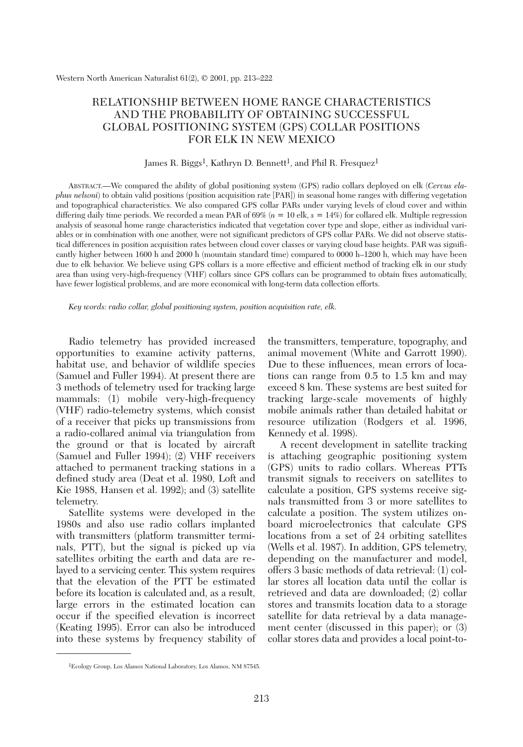# RELATIONSHIP BETWEEN HOME RANGE CHARACTERISTICS AND THE PROBABILITY OF OBTAINING SUCCESSFUL GLOBAL POSITIONING SYSTEM (GPS) COLLAR POSITIONS FOR ELK IN NEW MEXICO

### James R. Biggs<sup>1</sup>, Kathryn D. Bennett<sup>1</sup>, and Phil R. Fresquez<sup>1</sup>

ABSTRACT.—We compared the ability of global positioning system (GPS) radio collars deployed on elk (*Cervus elaphus nelsoni*) to obtain valid positions (position acquisition rate [PAR]) in seasonal home ranges with differing vegetation and topographical characteristics. We also compared GPS collar PARs under varying levels of cloud cover and within differing daily time periods. We recorded a mean PAR of 69% (*n* = 10 elk, *s* = 14%) for collared elk. Multiple regression analysis of seasonal home range characteristics indicated that vegetation cover type and slope, either as individual variables or in combination with one another, were not significant predictors of GPS collar PARs. We did not observe statistical differences in position acquisition rates between cloud cover classes or varying cloud base heights. PAR was significantly higher between 1600 h and 2000 h (mountain standard time) compared to 0000 h–1200 h, which may have been due to elk behavior. We believe using GPS collars is a more effective and efficient method of tracking elk in our study area than using very-high-frequency (VHF) collars since GPS collars can be programmed to obtain fixes automatically, have fewer logistical problems, and are more economical with long-term data collection efforts.

*Key words: radio collar, global positioning system, position acquisition rate, elk.*

Radio telemetry has provided increased opportunities to examine activity patterns, habitat use, and behavior of wildlife species (Samuel and Fuller 1994). At present there are 3 methods of telemetry used for tracking large mammals: (1) mobile very-high-frequency (VHF) radio-telemetry systems, which consist of a receiver that picks up transmissions from a radio-collared animal via triangulation from the ground or that is located by aircraft (Samuel and Fuller 1994); (2) VHF receivers attached to permanent tracking stations in a defined study area (Deat et al. 1980, Loft and Kie 1988, Hansen et al. 1992); and (3) satellite telemetry.

Satellite systems were developed in the 1980s and also use radio collars implanted with transmitters (platform transmitter terminals, PTT), but the signal is picked up via satellites orbiting the earth and data are relayed to a servicing center. This system requires that the elevation of the PTT be estimated before its location is calculated and, as a result, large errors in the estimated location can occur if the specified elevation is incorrect (Keating 1995). Error can also be introduced into these systems by frequency stability of the transmitters, temperature, topography, and animal movement (White and Garrott 1990). Due to these influences, mean errors of locations can range from 0.5 to 1.5 km and may exceed 8 km. These systems are best suited for tracking large-scale movements of highly mobile animals rather than detailed habitat or resource utilization (Rodgers et al. 1996, Kennedy et al. 1998).

A recent development in satellite tracking is attaching geographic positioning system (GPS) units to radio collars. Whereas PTTs transmit signals to receivers on satellites to calculate a position, GPS systems receive signals transmitted from 3 or more satellites to calculate a position. The system utilizes onboard microelectronics that calculate GPS locations from a set of 24 orbiting satellites (Wells et al. 1987). In addition, GPS telemetry, depending on the manufacturer and model, offers 3 basic methods of data retrieval: (1) collar stores all location data until the collar is retrieved and data are downloaded; (2) collar stores and transmits location data to a storage satellite for data retrieval by a data management center (discussed in this paper); or (3) collar stores data and provides a local point-to-

<sup>1</sup>Ecology Group, Los Alamos National Laboratory, Los Alamos, NM 87545.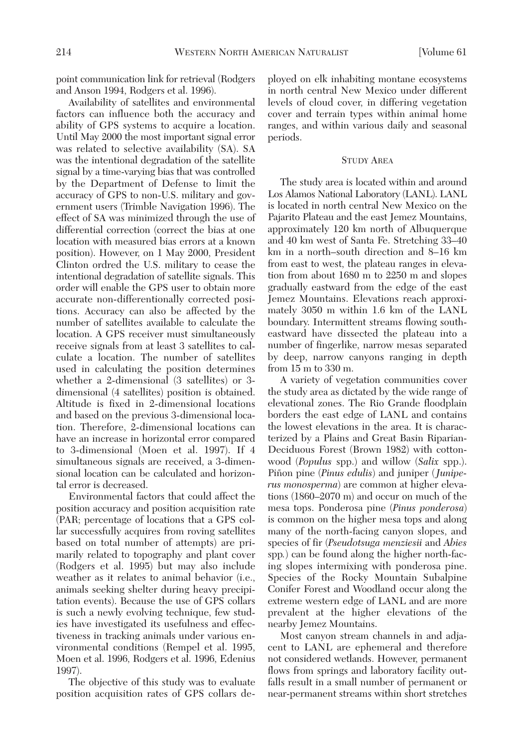point communication link for retrieval (Rodgers and Anson 1994, Rodgers et al. 1996).

Availability of satellites and environmental factors can influence both the accuracy and ability of GPS systems to acquire a location. Until May 2000 the most important signal error was related to selective availability (SA). SA was the intentional degradation of the satellite signal by a time-varying bias that was controlled by the Department of Defense to limit the accuracy of GPS to non-U.S. military and government users (Trimble Navigation 1996). The effect of SA was minimized through the use of differential correction (correct the bias at one location with measured bias errors at a known position). However, on 1 May 2000, President Clinton ordred the U.S. military to cease the intentional degradation of satellite signals. This order will enable the GPS user to obtain more accurate non-differentionally corrected positions. Accuracy can also be affected by the number of satellites available to calculate the location. A GPS receiver must simultaneously receive signals from at least 3 satellites to calculate a location. The number of satellites used in calculating the position determines whether a 2-dimensional (3 satellites) or 3 dimensional (4 satellites) position is obtained. Altitude is fixed in 2-dimensional locations and based on the previous 3-dimensional location. Therefore, 2-dimensional locations can have an increase in horizontal error compared to 3-dimensional (Moen et al. 1997). If 4 simultaneous signals are received, a 3-dimensional location can be calculated and horizontal error is decreased.

Environmental factors that could affect the position accuracy and position acquisition rate (PAR; percentage of locations that a GPS collar successfully acquires from roving satellites based on total number of attempts) are primarily related to topography and plant cover (Rodgers et al. 1995) but may also include weather as it relates to animal behavior (i.e., animals seeking shelter during heavy precipitation events). Because the use of GPS collars is such a newly evolving technique, few studies have investigated its usefulness and effectiveness in tracking animals under various environmental conditions (Rempel et al. 1995, Moen et al. 1996, Rodgers et al. 1996, Edenius 1997).

The objective of this study was to evaluate position acquisition rates of GPS collars de-

ployed on elk inhabiting montane ecosystems in north central New Mexico under different levels of cloud cover, in differing vegetation cover and terrain types within animal home ranges, and within various daily and seasonal periods.

# STUDY AREA

The study area is located within and around Los Alamos National Laboratory (LANL). LANL is located in north central New Mexico on the Pajarito Plateau and the east Jemez Mountains, approximately 120 km north of Albuquerque and 40 km west of Santa Fe. Stretching 33–40 km in a north–south direction and 8–16 km from east to west, the plateau ranges in elevation from about 1680 m to 2250 m and slopes gradually eastward from the edge of the east Jemez Mountains. Elevations reach approximately 3050 m within 1.6 km of the LANL boundary. Intermittent streams flowing southeastward have dissected the plateau into a number of fingerlike, narrow mesas separated by deep, narrow canyons ranging in depth from 15 m to 330 m.

A variety of vegetation communities cover the study area as dictated by the wide range of elevational zones. The Rio Grande floodplain borders the east edge of LANL and contains the lowest elevations in the area. It is characterized by a Plains and Great Basin Riparian-Deciduous Forest (Brown 1982) with cottonwood (*Populus* spp.) and willow (*Salix* spp.). Piñon pine (*Pinus edulis*) and juniper (*Juniperus monosperma*) are common at higher elevations (1860–2070 m) and occur on much of the mesa tops. Ponderosa pine (*Pinus ponderosa*) is common on the higher mesa tops and along many of the north-facing canyon slopes, and species of fir (*Pseudotsuga menziesii* and *Abies* spp*.*) can be found along the higher north-facing slopes intermixing with ponderosa pine. Species of the Rocky Mountain Subalpine Conifer Forest and Woodland occur along the extreme western edge of LANL and are more prevalent at the higher elevations of the nearby Jemez Mountains.

Most canyon stream channels in and adjacent to LANL are ephemeral and therefore not considered wetlands. However, permanent flows from springs and laboratory facility outfalls result in a small number of permanent or near-permanent streams within short stretches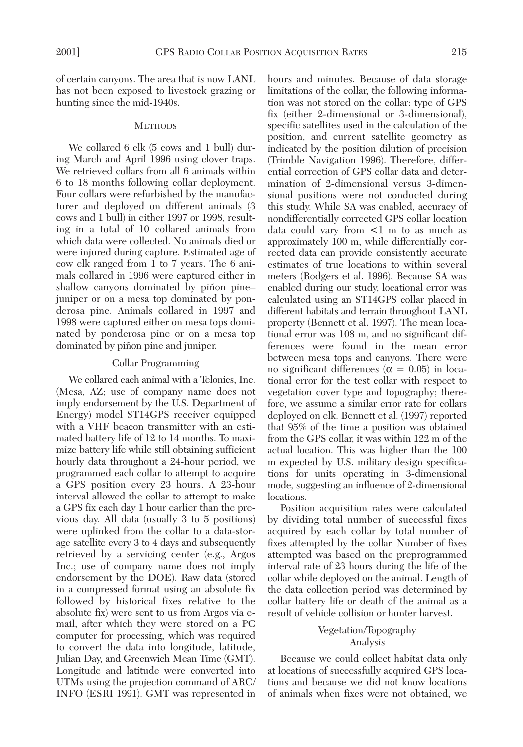of certain canyons. The area that is now LANL has not been exposed to livestock grazing or hunting since the mid-1940s.

### **METHODS**

We collared 6 elk (5 cows and 1 bull) during March and April 1996 using clover traps. We retrieved collars from all 6 animals within 6 to 18 months following collar deployment. Four collars were refurbished by the manufacturer and deployed on different animals (3 cows and 1 bull) in either 1997 or 1998, resulting in a total of 10 collared animals from which data were collected. No animals died or were injured during capture. Estimated age of cow elk ranged from 1 to 7 years. The 6 animals collared in 1996 were captured either in shallow canyons dominated by piñon pine– juniper or on a mesa top dominated by ponderosa pine. Animals collared in 1997 and 1998 were captured either on mesa tops dominated by ponderosa pine or on a mesa top dominated by piñon pine and juniper.

### Collar Programming

We collared each animal with a Telonics, Inc. (Mesa, AZ; use of company name does not imply endorsement by the U.S. Department of Energy) model ST14GPS receiver equipped with a VHF beacon transmitter with an estimated battery life of 12 to 14 months. To maximize battery life while still obtaining sufficient hourly data throughout a 24-hour period, we programmed each collar to attempt to acquire a GPS position every 23 hours. A 23-hour interval allowed the collar to attempt to make a GPS fix each day 1 hour earlier than the previous day. All data (usually 3 to 5 positions) were uplinked from the collar to a data-storage satellite every 3 to 4 days and subsequently retrieved by a servicing center (e.g., Argos Inc.; use of company name does not imply endorsement by the DOE). Raw data (stored in a compressed format using an absolute fix followed by historical fixes relative to the absolute fix) were sent to us from Argos via email, after which they were stored on a PC computer for processing, which was required to convert the data into longitude, latitude, Julian Day, and Greenwich Mean Time (GMT). Longitude and latitude were converted into UTMs using the projection command of ARC/ INFO (ESRI 1991). GMT was represented in

hours and minutes. Because of data storage limitations of the collar, the following information was not stored on the collar: type of GPS fix (either 2-dimensional or 3-dimensional), specific satellites used in the calculation of the position, and current satellite geometry as indicated by the position dilution of precision (Trimble Navigation 1996). Therefore, differential correction of GPS collar data and determination of 2-dimensional versus 3-dimensional positions were not conducted during this study. While SA was enabled, accuracy of nondifferentially corrected GPS collar location data could vary from <1 m to as much as approximately 100 m, while differentially corrected data can provide consistently accurate estimates of true locations to within several meters (Rodgers et al. 1996). Because SA was enabled during our study, locational error was calculated using an ST14GPS collar placed in different habitats and terrain throughout LANL property (Bennett et al. 1997). The mean locational error was 108 m, and no significant differences were found in the mean error between mesa tops and canyons. There were no significant differences ( $\alpha = 0.05$ ) in locational error for the test collar with respect to vegetation cover type and topography; therefore, we assume a similar error rate for collars deployed on elk. Bennett et al. (1997) reported that 95% of the time a position was obtained from the GPS collar, it was within 122 m of the actual location. This was higher than the 100 m expected by U.S. military design specifications for units operating in 3-dimensional mode, suggesting an influence of 2-dimensional locations.

Position acquisition rates were calculated by dividing total number of successful fixes acquired by each collar by total number of fixes attempted by the collar. Number of fixes attempted was based on the preprogrammed interval rate of 23 hours during the life of the collar while deployed on the animal. Length of the data collection period was determined by collar battery life or death of the animal as a result of vehicle collision or hunter harvest.

# Vegetation/Topography Analysis

Because we could collect habitat data only at locations of successfully acquired GPS locations and because we did not know locations of animals when fixes were not obtained, we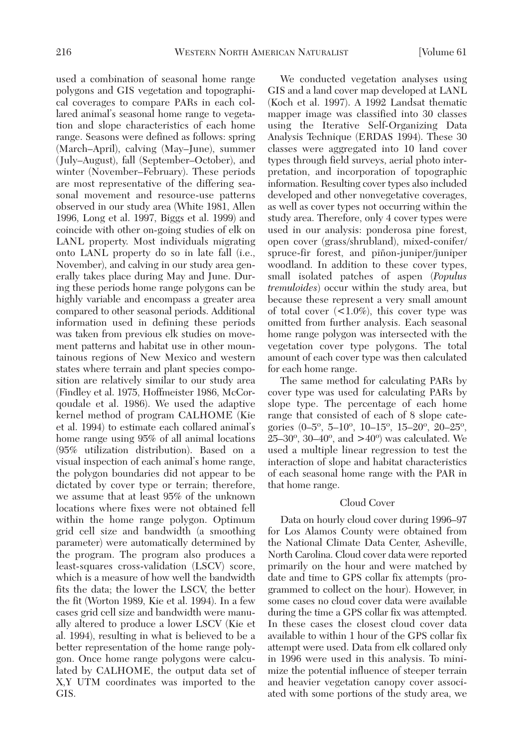used a combination of seasonal home range polygons and GIS vegetation and topographical coverages to compare PARs in each collared animal's seasonal home range to vegetation and slope characteristics of each home range. Seasons were defined as follows: spring (March–April), calving (May–June), summer (July–August), fall (September–October), and winter (November–February). These periods are most representative of the differing seasonal movement and resource-use patterns observed in our study area (White 1981, Allen 1996, Long et al. 1997, Biggs et al. 1999) and coincide with other on-going studies of elk on LANL property. Most individuals migrating onto LANL property do so in late fall (i.e., November), and calving in our study area generally takes place during May and June. During these periods home range polygons can be highly variable and encompass a greater area compared to other seasonal periods. Additional information used in defining these periods was taken from previous elk studies on movement patterns and habitat use in other mountainous regions of New Mexico and western states where terrain and plant species composition are relatively similar to our study area (Findley et al. 1975, Hoffmeister 1986, McCorqoudale et al. 1986). We used the adaptive kernel method of program CALHOME (Kie et al. 1994) to estimate each collared animal's home range using 95% of all animal locations (95% utilization distribution). Based on a visual inspection of each animal's home range, the polygon boundaries did not appear to be dictated by cover type or terrain; therefore, we assume that at least 95% of the unknown locations where fixes were not obtained fell within the home range polygon. Optimum grid cell size and bandwidth (a smoothing parameter) were automatically determined by the program. The program also produces a least-squares cross-validation (LSCV) score, which is a measure of how well the bandwidth fits the data; the lower the LSCV, the better the fit (Worton 1989, Kie et al. 1994). In a few cases grid cell size and bandwidth were manually altered to produce a lower LSCV (Kie et al. 1994), resulting in what is believed to be a better representation of the home range polygon. Once home range polygons were calculated by CALHOME, the output data set of X,Y UTM coordinates was imported to the GIS.

We conducted vegetation analyses using GIS and a land cover map developed at LANL (Koch et al. 1997). A 1992 Landsat thematic mapper image was classified into 30 classes using the Iterative Self-Organizing Data Analysis Technique (ERDAS 1994). These 30 classes were aggregated into 10 land cover types through field surveys, aerial photo interpretation, and incorporation of topographic information. Resulting cover types also included developed and other nonvegetative coverages, as well as cover types not occurring within the study area. Therefore, only 4 cover types were used in our analysis: ponderosa pine forest, open cover (grass/shrubland), mixed-conifer/ spruce-fir forest, and piñon-juniper/juniper woodland. In addition to these cover types, small isolated patches of aspen (*Populus tremuloides*) occur within the study area, but because these represent a very small amount of total cover  $\langle 1.0\% \rangle$ , this cover type was omitted from further analysis. Each seasonal home range polygon was intersected with the vegetation cover type polygons. The total amount of each cover type was then calculated for each home range.

The same method for calculating PARs by cover type was used for calculating PARs by slope type. The percentage of each home range that consisted of each of 8 slope categories (0–5º, 5–10º, 10–15º, 15–20º, 20–25º,  $25-30^{\circ}$ ,  $30-40^{\circ}$ , and  $>40^{\circ}$ ) was calculated. We used a multiple linear regression to test the interaction of slope and habitat characteristics of each seasonal home range with the PAR in that home range.

# Cloud Cover

Data on hourly cloud cover during 1996–97 for Los Alamos County were obtained from the National Climate Data Center, Asheville, North Carolina. Cloud cover data were reported primarily on the hour and were matched by date and time to GPS collar fix attempts (programmed to collect on the hour). However, in some cases no cloud cover data were available during the time a GPS collar fix was attempted. In these cases the closest cloud cover data available to within 1 hour of the GPS collar fix attempt were used. Data from elk collared only in 1996 were used in this analysis. To minimize the potential influence of steeper terrain and heavier vegetation canopy cover associated with some portions of the study area, we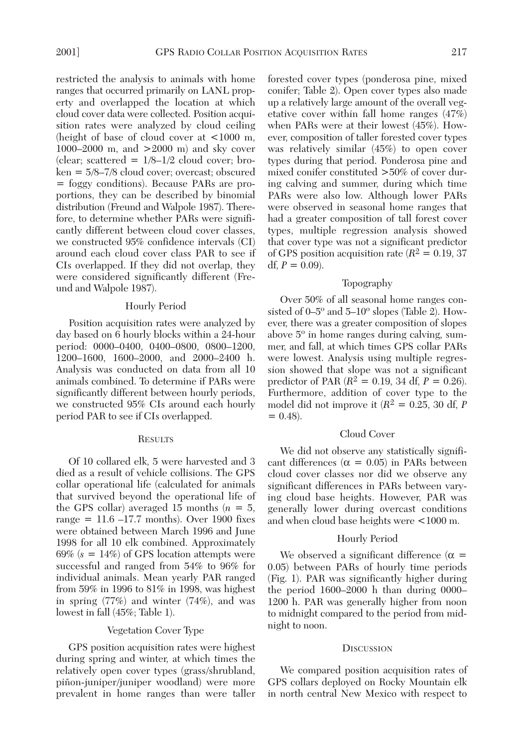restricted the analysis to animals with home ranges that occurred primarily on LANL property and overlapped the location at which cloud cover data were collected. Position acquisition rates were analyzed by cloud ceiling (height of base of cloud cover at <1000 m, 1000–2000 m, and >2000 m) and sky cover (clear; scattered  $= 1/8 - 1/2$  cloud cover; broken = 5/8–7/8 cloud cover; overcast; obscured = foggy conditions). Because PARs are proportions, they can be described by binomial distribution (Freund and Walpole 1987). Therefore, to determine whether PARs were significantly different between cloud cover classes, we constructed 95% confidence intervals (CI) around each cloud cover class PAR to see if CIs overlapped. If they did not overlap, they were considered significantly different (Freund and Walpole 1987).

## Hourly Period

Position acquisition rates were analyzed by day based on 6 hourly blocks within a 24-hour period: 0000–0400, 0400–0800, 0800–1200, 1200–1600, 1600–2000, and 2000–2400 h. Analysis was conducted on data from all 10 animals combined. To determine if PARs were significantly different between hourly periods, we constructed 95% CIs around each hourly period PAR to see if CIs overlapped.

#### **RESULTS**

Of 10 collared elk, 5 were harvested and 3 died as a result of vehicle collisions. The GPS collar operational life (calculated for animals that survived beyond the operational life of the GPS collar) averaged 15 months  $(n = 5)$ , range  $= 11.6 - 17.7$  months). Over 1900 fixes were obtained between March 1996 and June 1998 for all 10 elk combined. Approximately 69% (*s* = 14%) of GPS location attempts were successful and ranged from 54% to 96% for individual animals. Mean yearly PAR ranged from 59% in 1996 to 81% in 1998, was highest in spring (77%) and winter (74%), and was lowest in fall (45%; Table 1).

## Vegetation Cover Type

GPS position acquisition rates were highest during spring and winter, at which times the relatively open cover types (grass/shrubland, piñon-juniper/juniper woodland) were more prevalent in home ranges than were taller

forested cover types (ponderosa pine, mixed conifer; Table 2). Open cover types also made up a relatively large amount of the overall vegetative cover within fall home ranges (47%) when PARs were at their lowest (45%). However, composition of taller forested cover types was relatively similar (45%) to open cover types during that period. Ponderosa pine and mixed conifer constituted >50% of cover during calving and summer, during which time PARs were also low. Although lower PARs were observed in seasonal home ranges that had a greater composition of tall forest cover types, multiple regression analysis showed that cover type was not a significant predictor of GPS position acquisition rate  $(R^2 = 0.19, 37)$ df,  $P = 0.09$ ).

### Topography

Over 50% of all seasonal home ranges consisted of 0–5º and 5–10º slopes (Table 2). However, there was a greater composition of slopes above 5º in home ranges during calving, summer, and fall, at which times GPS collar PARs were lowest. Analysis using multiple regression showed that slope was not a significant predictor of PAR ( $R^2 = 0.19$ , 34 df,  $P = 0.26$ ). Furthermore, addition of cover type to the model did not improve it (*R*2 = 0.25, 30 df, *P*  $= 0.48$ ).

# Cloud Cover

We did not observe any statistically significant differences ( $\alpha = 0.05$ ) in PARs between cloud cover classes nor did we observe any significant differences in PARs between varying cloud base heights. However, PAR was generally lower during overcast conditions and when cloud base heights were <1000 m.

#### Hourly Period

We observed a significant difference ( $\alpha$  = 0.05) between PARs of hourly time periods (Fig. 1). PAR was significantly higher during the period 1600–2000 h than during 0000– 1200 h. PAR was generally higher from noon to midnight compared to the period from midnight to noon.

#### **DISCUSSION**

We compared position acquisition rates of GPS collars deployed on Rocky Mountain elk in north central New Mexico with respect to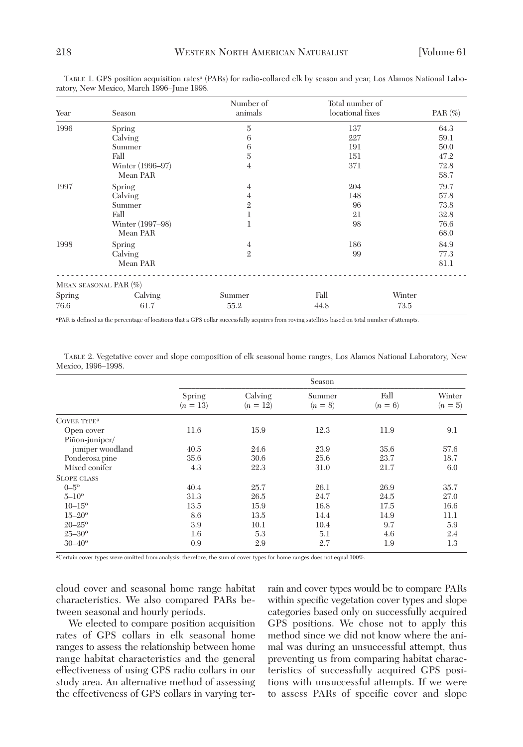| Year   | Season                | Number of<br>animals | Total number of<br>locational fixes | $PAR(\%)$ |
|--------|-----------------------|----------------------|-------------------------------------|-----------|
| 1996   | Spring                | 5                    | 137                                 | 64.3      |
|        | Calving               | 6                    | 227                                 | 59.1      |
|        | Summer                | 6                    | 191                                 | 50.0      |
|        | Fall                  | 5                    | 151                                 | 47.2      |
|        | Winter (1996–97)      | 4                    | 371                                 | 72.8      |
|        | Mean PAR              |                      |                                     | 58.7      |
| 1997   | Spring                | 4                    | 204                                 | 79.7      |
|        | Calving               | 4                    | 148                                 | 57.8      |
|        | Summer                | $\overline{2}$       | 96                                  | 73.8      |
|        | Fall                  | 1                    | 21                                  | 32.8      |
|        | Winter (1997–98)      |                      | 98                                  | 76.6      |
|        | Mean PAR              |                      |                                     | 68.0      |
| 1998   | Spring                | 4                    | 186                                 | 84.9      |
|        | Calving               | $\overline{2}$       | 99                                  | 77.3      |
|        | Mean PAR              |                      |                                     | 81.1      |
|        | MEAN SEASONAL PAR (%) |                      |                                     |           |
| Spring | Calving               | Summer               | Fall                                | Winter    |
| 76.6   | 61.7                  | 55.2                 | 44.8                                | 73.5      |

TABLE 1. GPS position acquisition ratesa (PARs) for radio-collared elk by season and year, Los Alamos National Laboratory, New Mexico, March 1996–June 1998.

aPAR is defined as the percentage of locations that a GPS collar successfully acquires from roving satellites based on total number of attempts.

TABLE 2. Vegetative cover and slope composition of elk seasonal home ranges, Los Alamos National Laboratory, New Mexico, 1996–1998.

|                         | Season               |                       |                     |                   |                     |  |  |
|-------------------------|----------------------|-----------------------|---------------------|-------------------|---------------------|--|--|
|                         | Spring<br>$(n = 13)$ | Calving<br>$(n = 12)$ | Summer<br>$(n = 8)$ | Fall<br>$(n = 6)$ | Winter<br>$(n = 5)$ |  |  |
| COVER TYPE <sup>a</sup> |                      |                       |                     |                   |                     |  |  |
| Open cover              | 11.6                 | 15.9                  | 12.3                | 11.9              | 9.1                 |  |  |
| Piñon-juniper/          |                      |                       |                     |                   |                     |  |  |
| juniper woodland        | 40.5                 | 24.6                  | 23.9                | 35.6              | 57.6                |  |  |
| Ponderosa pine          | 35.6                 | 30.6                  | 25.6                | 23.7              | 18.7                |  |  |
| Mixed conifer           | 4.3                  | 22.3                  | 31.0                | 21.7              | 6.0                 |  |  |
| <b>SLOPE CLASS</b>      |                      |                       |                     |                   |                     |  |  |
| $0 - 5^{\circ}$         | 40.4                 | 25.7                  | 26.1                | 26.9              | 35.7                |  |  |
| $5 - 10^{\circ}$        | 31.3                 | 26.5                  | 24.7                | 24.5              | 27.0                |  |  |
| $10 - 15^{\circ}$       | 13.5                 | 15.9                  | 16.8                | 17.5              | 16.6                |  |  |
| $15 - 20^{\circ}$       | 8.6                  | 13.5                  | 14.4                | 14.9              | 11.1                |  |  |
| $20 - 25^{\circ}$       | 3.9                  | 10.1                  | 10.4                | 9.7               | 5.9                 |  |  |
| $25 - 30^{\circ}$       | 1.6                  | 5.3                   | 5.1                 | 4.6               | 2.4                 |  |  |
| $30 - 40^{\circ}$       | 0.9                  | 2.9                   | 2.7                 | 1.9               | 1.3                 |  |  |

aCertain cover types were omitted from analysis; therefore, the sum of cover types for home ranges does not equal 100%.

cloud cover and seasonal home range habitat characteristics. We also compared PARs between seasonal and hourly periods.

We elected to compare position acquisition rates of GPS collars in elk seasonal home ranges to assess the relationship between home range habitat characteristics and the general effectiveness of using GPS radio collars in our study area. An alternative method of assessing the effectiveness of GPS collars in varying terrain and cover types would be to compare PARs within specific vegetation cover types and slope categories based only on successfully acquired GPS positions. We chose not to apply this method since we did not know where the animal was during an unsuccessful attempt, thus preventing us from comparing habitat characteristics of successfully acquired GPS positions with unsuccessful attempts. If we were to assess PARs of specific cover and slope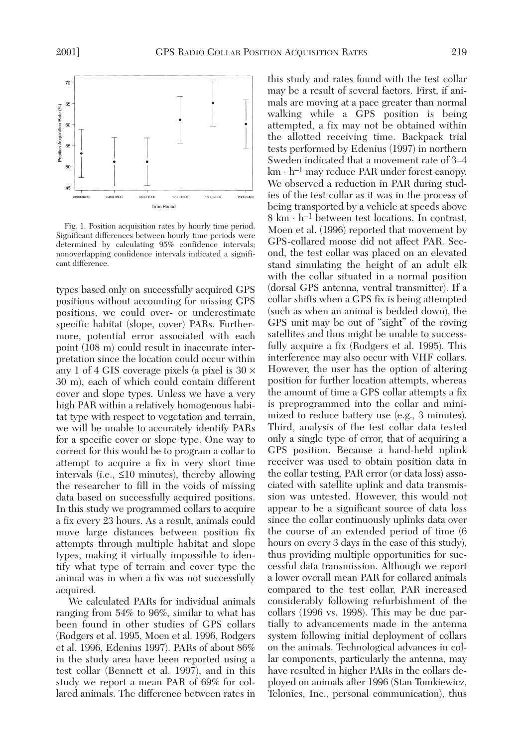

Fig. 1. Position acquisition rates by hourly time period. Significant differences between hourly time periods were determined by calculating 95% confidence intervals; nonoverlapping confidence intervals indicated a significant difference.

types based only on successfully acquired GPS positions without accounting for missing GPS positions, we could over- or underestimate specific habitat (slope, cover) PARs. Furthermore, potential error associated with each point (108 m) could result in inaccurate interpretation since the location could occur within any 1 of 4 GIS coverage pixels (a pixel is  $30 \times$ 30 m), each of which could contain different cover and slope types. Unless we have a very high PAR within a relatively homogenous habitat type with respect to vegetation and terrain, we will be unable to accurately identify PARs for a specific cover or slope type. One way to correct for this would be to program a collar to attempt to acquire a fix in very short time intervals (i.e., ≤10 minutes), thereby allowing the researcher to fill in the voids of missing data based on successfully acquired positions. In this study we programmed collars to acquire a fix every 23 hours. As a result, animals could move large distances between position fix attempts through multiple habitat and slope types, making it virtually impossible to identify what type of terrain and cover type the animal was in when a fix was not successfully acquired.

We calculated PARs for individual animals ranging from 54% to 96%, similar to what has been found in other studies of GPS collars (Rodgers et al. 1995, Moen et al. 1996, Rodgers et al. 1996, Edenius 1997). PARs of about 86% in the study area have been reported using a test collar (Bennett et al. 1997), and in this study we report a mean PAR of 69% for collared animals. The difference between rates in this study and rates found with the test collar may be a result of several factors. First, if animals are moving at a pace greater than normal walking while a GPS position is being attempted, a fix may not be obtained within the allotted receiving time. Backpack trial tests performed by Edenius (1997) in northern Sweden indicated that a movement rate of 3–4  $km \cdot h^{-1}$  may reduce PAR under forest canopy. We observed a reduction in PAR during studies of the test collar as it was in the process of being transported by a vehicle at speeds above  $8 \text{ km} \cdot \text{h}^{-1}$  between test locations. In contrast, Moen et al. (1996) reported that movement by GPS-collared moose did not affect PAR. Second, the test collar was placed on an elevated stand simulating the height of an adult elk with the collar situated in a normal position (dorsal GPS antenna, ventral transmitter). If a collar shifts when a GPS fix is being attempted (such as when an animal is bedded down), the GPS unit may be out of "sight" of the roving satellites and thus might be unable to successfully acquire a fix (Rodgers et al. 1995). This interference may also occur with VHF collars. However, the user has the option of altering position for further location attempts, whereas the amount of time a GPS collar attempts a fix is preprogrammed into the collar and minimized to reduce battery use (e.g., 3 minutes). Third, analysis of the test collar data tested only a single type of error, that of acquiring a GPS position. Because a hand-held uplink receiver was used to obtain position data in the collar testing, PAR error (or data loss) associated with satellite uplink and data transmission was untested. However, this would not appear to be a significant source of data loss since the collar continuously uplinks data over the course of an extended period of time (6 hours on every 3 days in the case of this study), thus providing multiple opportunities for successful data transmission. Although we report a lower overall mean PAR for collared animals compared to the test collar, PAR increased considerably following refurbishment of the collars (1996 vs. 1998). This may be due partially to advancements made in the antenna system following initial deployment of collars on the animals. Technological advances in collar components, particularly the antenna, may have resulted in higher PARs in the collars deployed on animals after 1996 (Stan Tomkiewicz, Telonics, Inc., personal communication), thus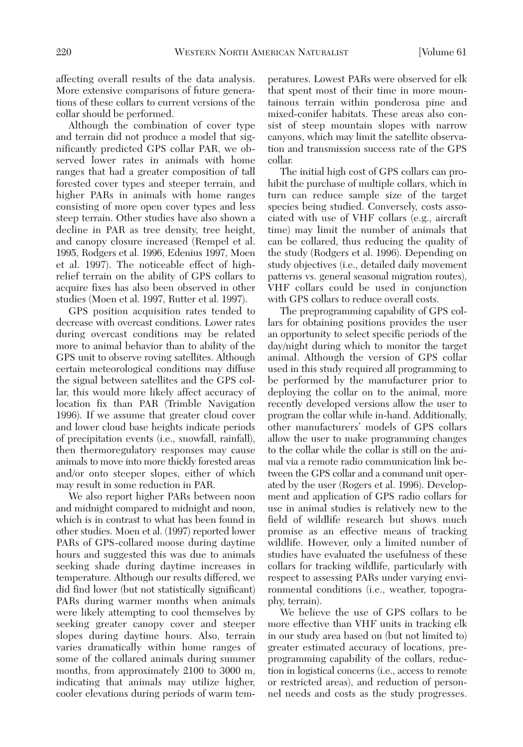affecting overall results of the data analysis. More extensive comparisons of future generations of these collars to current versions of the collar should be performed.

Although the combination of cover type and terrain did not produce a model that significantly predicted GPS collar PAR, we observed lower rates in animals with home ranges that had a greater composition of tall forested cover types and steeper terrain, and higher PARs in animals with home ranges consisting of more open cover types and less steep terrain. Other studies have also shown a decline in PAR as tree density, tree height, and canopy closure increased (Rempel et al. 1995, Rodgers et al. 1996, Edenius 1997, Moen et al. 1997). The noticeable effect of highrelief terrain on the ability of GPS collars to acquire fixes has also been observed in other studies (Moen et al. 1997, Rutter et al. 1997).

GPS position acquisition rates tended to decrease with overcast conditions. Lower rates during overcast conditions may be related more to animal behavior than to ability of the GPS unit to observe roving satellites. Although certain meteorological conditions may diffuse the signal between satellites and the GPS collar, this would more likely affect accuracy of location fix than PAR (Trimble Navigation 1996). If we assume that greater cloud cover and lower cloud base heights indicate periods of precipitation events (i.e., snowfall, rainfall), then thermoregulatory responses may cause animals to move into more thickly forested areas and/or onto steeper slopes, either of which may result in some reduction in PAR.

We also report higher PARs between noon and midnight compared to midnight and noon, which is in contrast to what has been found in other studies. Moen et al. (1997) reported lower PARs of GPS-collared moose during daytime hours and suggested this was due to animals seeking shade during daytime increases in temperature. Although our results differed, we did find lower (but not statistically significant) PARs during warmer months when animals were likely attempting to cool themselves by seeking greater canopy cover and steeper slopes during daytime hours. Also, terrain varies dramatically within home ranges of some of the collared animals during summer months, from approximately 2100 to 3000 m, indicating that animals may utilize higher, cooler elevations during periods of warm temperatures. Lowest PARs were observed for elk that spent most of their time in more mountainous terrain within ponderosa pine and mixed-conifer habitats. These areas also consist of steep mountain slopes with narrow canyons, which may limit the satellite observation and transmission success rate of the GPS collar.

The initial high cost of GPS collars can prohibit the purchase of multiple collars, which in turn can reduce sample size of the target species being studied. Conversely, costs associated with use of VHF collars (e.g., aircraft time) may limit the number of animals that can be collared, thus reducing the quality of the study (Rodgers et al. 1996). Depending on study objectives (i.e., detailed daily movement patterns vs. general seasonal migration routes), VHF collars could be used in conjunction with GPS collars to reduce overall costs.

The preprogramming capability of GPS collars for obtaining positions provides the user an opportunity to select specific periods of the day/night during which to monitor the target animal. Although the version of GPS collar used in this study required all programming to be performed by the manufacturer prior to deploying the collar on to the animal, more recently developed versions allow the user to program the collar while in-hand. Additionally, other manufacturers' models of GPS collars allow the user to make programming changes to the collar while the collar is still on the animal via a remote radio communication link between the GPS collar and a command unit operated by the user (Rogers et al. 1996). Development and application of GPS radio collars for use in animal studies is relatively new to the field of wildlife research but shows much promise as an effective means of tracking wildlife. However, only a limited number of studies have evaluated the usefulness of these collars for tracking wildlife, particularly with respect to assessing PARs under varying environmental conditions (i.e., weather, topography, terrain).

We believe the use of GPS collars to be more effective than VHF units in tracking elk in our study area based on (but not limited to) greater estimated accuracy of locations, preprogramming capability of the collars, reduction in logistical concerns (i.e., access to remote or restricted areas), and reduction of personnel needs and costs as the study progresses.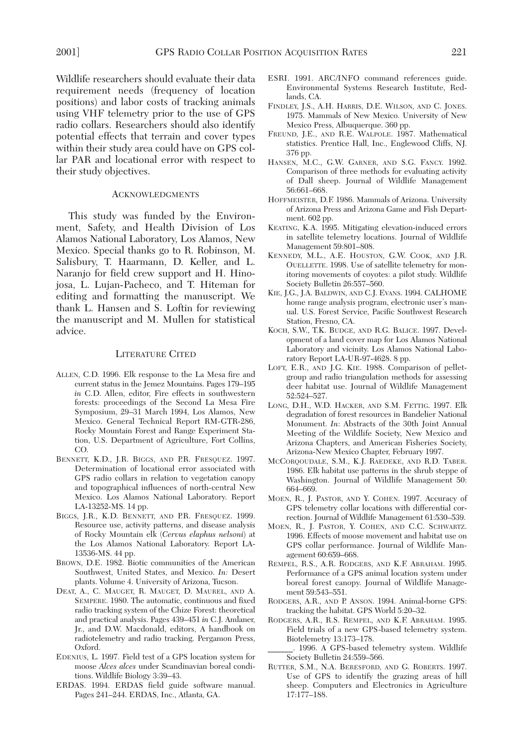Wildlife researchers should evaluate their data requirement needs (frequency of location positions) and labor costs of tracking animals using VHF telemetry prior to the use of GPS radio collars. Researchers should also identify potential effects that terrain and cover types within their study area could have on GPS collar PAR and locational error with respect to their study objectives.

# ACKNOWLEDGMENTS

This study was funded by the Environment, Safety, and Health Division of Los Alamos National Laboratory, Los Alamos, New Mexico. Special thanks go to R. Robinson, M. Salisbury, T. Haarmann, D. Keller, and L. Naranjo for field crew support and H. Hinojosa, L. Lujan-Pacheco, and T. Hiteman for editing and formatting the manuscript. We thank L. Hansen and S. Loftin for reviewing the manuscript and M. Mullen for statistical advice.

## LITERATURE CITED

- ALLEN, C.D. 1996. Elk response to the La Mesa fire and current status in the Jemez Mountains. Pages 179–195 *in* C.D. Allen, editor, Fire effects in southwestern forests: proceedings of the Second La Mesa Fire Symposium, 29–31 March 1994, Los Alamos, New Mexico. General Technical Report RM-GTR-286, Rocky Mountain Forest and Range Experiment Station, U.S. Department of Agriculture, Fort Collins, CO.
- BENNETT, K.D., J.R. BIGGS, AND P.R. FRESQUEZ. 1997. Determination of locational error associated with GPS radio collars in relation to vegetation canopy and topographical influences of north-central New Mexico. Los Alamos National Laboratory. Report LA-13252-MS. 14 pp.
- BIGGS, J.R., K.D. BENNETT, AND P.R. FRESQUEZ. 1999. Resource use, activity patterns, and disease analysis of Rocky Mountain elk (*Cervus elaphus nelsoni*) at the Los Alamos National Laboratory. Report LA-13536-MS. 44 pp.
- BROWN, D.E. 1982. Biotic communities of the American Southwest, United States, and Mexico. *In:* Desert plants. Volume 4. University of Arizona, Tucson.
- DEAT, A., C. MAUGET, R. MAUGET, D. MAUREL, AND A. SEMPERE. 1980. The automatic, continuous and fixed radio tracking system of the Chize Forest: theoretical and practical analysis. Pages 439–451 *in* C.J. Amlaner, Jr., and D.W. Macdonald, editors, A handbook on radiotelemetry and radio tracking. Pergamon Press, Oxford.
- EDENIUS, L. 1997. Field test of a GPS location system for moose *Alces alces* under Scandinavian boreal conditions. Wildlife Biology 3:39–43.
- ERDAS. 1994. ERDAS field guide software manual. Pages 241–244. ERDAS, Inc., Atlanta, GA.
- ESRI. 1991. ARC/INFO command references guide. Environmental Systems Research Institute, Redlands, CA.
- FINDLEY, J.S., A.H. HARRIS, D.E. WILSON, AND C. JONES. 1975. Mammals of New Mexico. University of New Mexico Press, Albuquerque. 360 pp.
- FREUND, J.E., AND R.E. WALPOLE. 1987. Mathematical statistics. Prentice Hall, Inc., Englewood Cliffs, NJ. 376 pp.
- HANSEN, M.C., G.W. GARNER, AND S.G. FANCY. 1992. Comparison of three methods for evaluating activity of Dall sheep. Journal of Wildlife Management 56:661–668.
- HOFFMEISTER, D.F. 1986. Mammals of Arizona. University of Arizona Press and Arizona Game and Fish Department. 602 pp.
- KEATING, K.A. 1995. Mitigating elevation-induced errors in satellite telemetry locations. Journal of Wildlife Management 59:801–808.
- KENNEDY, M.L., A.E. HOUSTON, G.W. COOK, AND J.R. OUELLETTE. 1998. Use of satellite telemetry for monitoring movements of coyotes: a pilot study. Wildlife Society Bulletin 26:557–560.
- KIE, J.G., J.A. BALDWIN, AND C.J. EVANS. 1994. CALHOME home range analysis program, electronic user's manual. U.S. Forest Service, Pacific Southwest Research Station, Fresno, CA.
- KOCH, S.W., T.K. BUDGE, AND R.G. BALICE. 1997. Development of a land cover map for Los Alamos National Laboratory and vicinity. Los Alamos National Laboratory Report LA-UR-97-4628. 8 pp.
- LOFT, E.R., AND J.G. KIE. 1988. Comparison of pelletgroup and radio triangulation methods for assessing deer habitat use. Journal of Wildlife Management 52:524–527.
- LONG, D.H., W.D. HACKER, AND S.M. FETTIG. 1997. Elk degradation of forest resources in Bandelier National Monument. *In*: Abstracts of the 30th Joint Annual Meeting of the Wildlife Society, New Mexico and Arizona Chapters, and American Fisheries Society, Arizona-New Mexico Chapter, February 1997.
- MCCORQOUDALE, S.M., K.J. RAEDEKE, AND R.D. TABER. 1986. Elk habitat use patterns in the shrub steppe of Washington. Journal of Wildlife Management 50: 664–669.
- MOEN, R., J. PASTOR, AND Y. COHEN. 1997. Accuracy of GPS telemetry collar locations with differential correction. Journal of Wildlife Management 61:530–539.
- MOEN, R., J. PASTOR, Y. COHEN, AND C.C. SCHWARTZ. 1996. Effects of moose movement and habitat use on GPS collar performance. Journal of Wildlife Management 60:659–668.
- REMPEL, R.S., A.R. RODGERS, AND K.F. ABRAHAM. 1995. Performance of a GPS animal location system under boreal forest canopy. Journal of Wildlife Management 59:543–551.
- RODGERS, A.R., AND P. ANSON. 1994. Animal-borne GPS: tracking the habitat. GPS World 5:20–32.
- RODGERS, A.R., R.S. REMPEL, AND K.F. ABRAHAM. 1995. Field trials of a new GPS-based telemetry system. Biotelemetry 13:173–178.
	- \_\_\_\_\_\_. 1996. A GPS-based telemetry system. Wildlife Society Bulletin 24:559–566.
- RUTTER, S.M., N.A. BERESFORD, AND G. ROBERTS. 1997. Use of GPS to identify the grazing areas of hill sheep. Computers and Electronics in Agriculture 17:177–188.